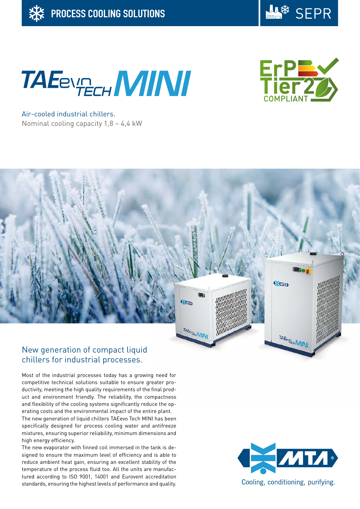





Air-cooled industrial chillers. Nominal cooling capacity 1,8 – 4,4 kW



# chillers for industrial processes.

Most of the industrial processes today has a growing need for competitive technical solutions suitable to ensure greater productivity, meeting the high quality requirements of the final product and environment friendly. The reliability, the compactness and flexibility of the cooling systems significantly reduce the operating costs and the environmental impact of the entire plant.

The new generation of liquid chillers TAEevo Tech MINI has been specifically designed for process cooling water and antifreeze mixtures, ensuring superior reliability, minimum dimensions and high energy efficiency.

The new evaporator with finned coil immersed in the tank is designed to ensure the maximum level of efficiency and is able to reduce ambient heat gain, ensuring an excellent stability of the temperature of the process fluid too. All the units are manufactured according to ISO 9001, 14001 and Eurovent accreditation standards, ensuring the highest levels of performance and quality.